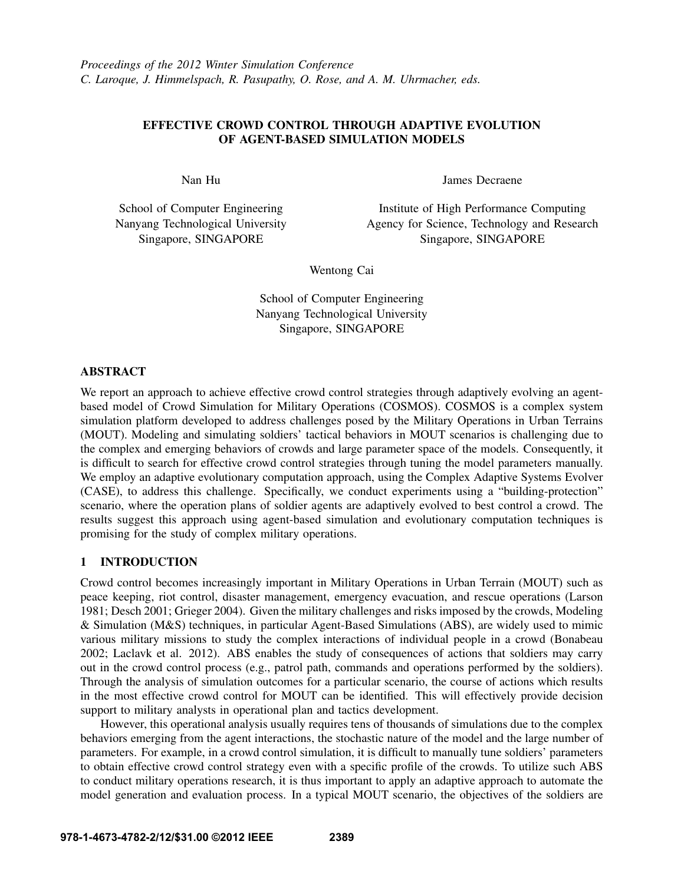# EFFECTIVE CROWD CONTROL THROUGH ADAPTIVE EVOLUTION OF AGENT-BASED SIMULATION MODELS

Nan Hu

James Decraene

School of Computer Engineering Nanyang Technological University Singapore, SINGAPORE

Institute of High Performance Computing Agency for Science, Technology and Research Singapore, SINGAPORE

Wentong Cai

School of Computer Engineering Nanyang Technological University Singapore, SINGAPORE

# ABSTRACT

We report an approach to achieve effective crowd control strategies through adaptively evolving an agentbased model of Crowd Simulation for Military Operations (COSMOS). COSMOS is a complex system simulation platform developed to address challenges posed by the Military Operations in Urban Terrains (MOUT). Modeling and simulating soldiers' tactical behaviors in MOUT scenarios is challenging due to the complex and emerging behaviors of crowds and large parameter space of the models. Consequently, it is difficult to search for effective crowd control strategies through tuning the model parameters manually. We employ an adaptive evolutionary computation approach, using the Complex Adaptive Systems Evolver (CASE), to address this challenge. Specifically, we conduct experiments using a "building-protection" scenario, where the operation plans of soldier agents are adaptively evolved to best control a crowd. The results suggest this approach using agent-based simulation and evolutionary computation techniques is promising for the study of complex military operations.

# 1 INTRODUCTION

Crowd control becomes increasingly important in Military Operations in Urban Terrain (MOUT) such as peace keeping, riot control, disaster management, emergency evacuation, and rescue operations (Larson 1981; Desch 2001; Grieger 2004). Given the military challenges and risks imposed by the crowds, Modeling & Simulation (M&S) techniques, in particular Agent-Based Simulations (ABS), are widely used to mimic various military missions to study the complex interactions of individual people in a crowd (Bonabeau 2002; Laclavk et al. 2012). ABS enables the study of consequences of actions that soldiers may carry out in the crowd control process (e.g., patrol path, commands and operations performed by the soldiers). Through the analysis of simulation outcomes for a particular scenario, the course of actions which results in the most effective crowd control for MOUT can be identified. This will effectively provide decision support to military analysts in operational plan and tactics development.

However, this operational analysis usually requires tens of thousands of simulations due to the complex behaviors emerging from the agent interactions, the stochastic nature of the model and the large number of parameters. For example, in a crowd control simulation, it is difficult to manually tune soldiers' parameters to obtain effective crowd control strategy even with a specific profile of the crowds. To utilize such ABS to conduct military operations research, it is thus important to apply an adaptive approach to automate the model generation and evaluation process. In a typical MOUT scenario, the objectives of the soldiers are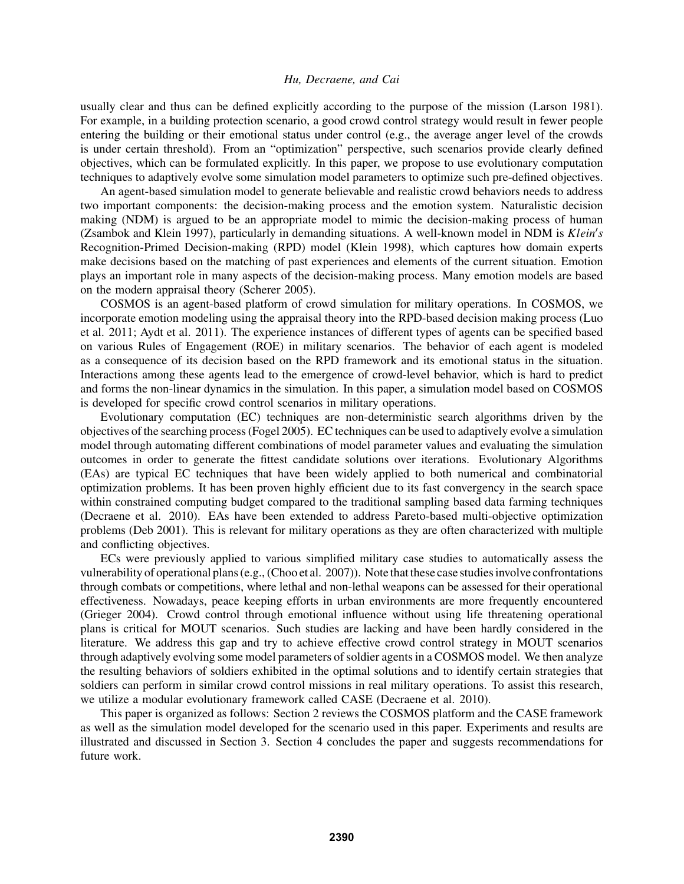usually clear and thus can be defined explicitly according to the purpose of the mission (Larson 1981). For example, in a building protection scenario, a good crowd control strategy would result in fewer people entering the building or their emotional status under control (e.g., the average anger level of the crowds is under certain threshold). From an "optimization" perspective, such scenarios provide clearly defined objectives, which can be formulated explicitly. In this paper, we propose to use evolutionary computation techniques to adaptively evolve some simulation model parameters to optimize such pre-defined objectives.

An agent-based simulation model to generate believable and realistic crowd behaviors needs to address two important components: the decision-making process and the emotion system. Naturalistic decision making (NDM) is argued to be an appropriate model to mimic the decision-making process of human (Zsambok and Klein 1997), particularly in demanding situations. A well-known model in NDM is Klein's Recognition-Primed Decision-making (RPD) model (Klein 1998), which captures how domain experts make decisions based on the matching of past experiences and elements of the current situation. Emotion plays an important role in many aspects of the decision-making process. Many emotion models are based on the modern appraisal theory (Scherer 2005).

COSMOS is an agent-based platform of crowd simulation for military operations. In COSMOS, we incorporate emotion modeling using the appraisal theory into the RPD-based decision making process (Luo et al. 2011; Aydt et al. 2011). The experience instances of different types of agents can be specified based on various Rules of Engagement (ROE) in military scenarios. The behavior of each agent is modeled as a consequence of its decision based on the RPD framework and its emotional status in the situation. Interactions among these agents lead to the emergence of crowd-level behavior, which is hard to predict and forms the non-linear dynamics in the simulation. In this paper, a simulation model based on COSMOS is developed for specific crowd control scenarios in military operations.

Evolutionary computation (EC) techniques are non-deterministic search algorithms driven by the objectives of the searching process (Fogel 2005). EC techniques can be used to adaptively evolve a simulation model through automating different combinations of model parameter values and evaluating the simulation outcomes in order to generate the fittest candidate solutions over iterations. Evolutionary Algorithms (EAs) are typical EC techniques that have been widely applied to both numerical and combinatorial optimization problems. It has been proven highly efficient due to its fast convergency in the search space within constrained computing budget compared to the traditional sampling based data farming techniques (Decraene et al. 2010). EAs have been extended to address Pareto-based multi-objective optimization problems (Deb 2001). This is relevant for military operations as they are often characterized with multiple and conflicting objectives.

ECs were previously applied to various simplified military case studies to automatically assess the vulnerability of operational plans (e.g., (Choo et al. 2007)). Note that these case studies involve confrontations through combats or competitions, where lethal and non-lethal weapons can be assessed for their operational effectiveness. Nowadays, peace keeping efforts in urban environments are more frequently encountered (Grieger 2004). Crowd control through emotional influence without using life threatening operational plans is critical for MOUT scenarios. Such studies are lacking and have been hardly considered in the literature. We address this gap and try to achieve effective crowd control strategy in MOUT scenarios through adaptively evolving some model parameters of soldier agents in a COSMOS model. We then analyze the resulting behaviors of soldiers exhibited in the optimal solutions and to identify certain strategies that soldiers can perform in similar crowd control missions in real military operations. To assist this research, we utilize a modular evolutionary framework called CASE (Decraene et al. 2010).

This paper is organized as follows: Section 2 reviews the COSMOS platform and the CASE framework as well as the simulation model developed for the scenario used in this paper. Experiments and results are illustrated and discussed in Section 3. Section 4 concludes the paper and suggests recommendations for future work.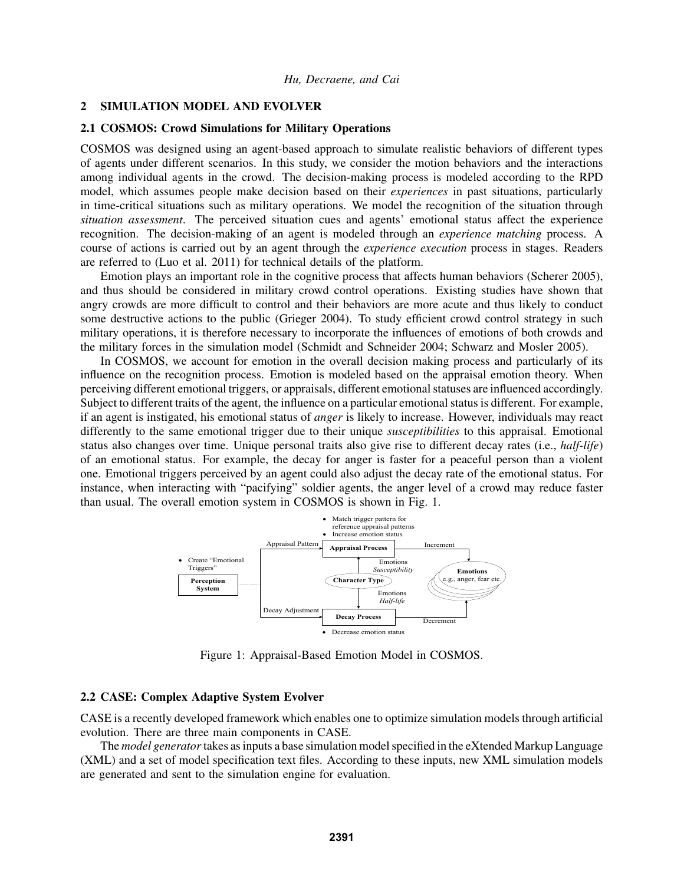#### 2 SIMULATION MODEL AND EVOLVER

# 2.1 COSMOS: Crowd Simulations for Military Operations

COSMOS was designed using an agent-based approach to simulate realistic behaviors of different types of agents under different scenarios. In this study, we consider the motion behaviors and the interactions among individual agents in the crowd. The decision-making process is modeled according to the RPD model, which assumes people make decision based on their *experiences* in past situations, particularly in time-critical situations such as military operations. We model the recognition of the situation through *situation assessment*. The perceived situation cues and agents' emotional status affect the experience recognition. The decision-making of an agent is modeled through an *experience matching* process. A course of actions is carried out by an agent through the *experience execution* process in stages. Readers are referred to (Luo et al. 2011) for technical details of the platform.

Emotion plays an important role in the cognitive process that affects human behaviors (Scherer 2005), and thus should be considered in military crowd control operations. Existing studies have shown that angry crowds are more difficult to control and their behaviors are more acute and thus likely to conduct some destructive actions to the public (Grieger 2004). To study efficient crowd control strategy in such military operations, it is therefore necessary to incorporate the influences of emotions of both crowds and the military forces in the simulation model (Schmidt and Schneider 2004; Schwarz and Mosler 2005).

In COSMOS, we account for emotion in the overall decision making process and particularly of its influence on the recognition process. Emotion is modeled based on the appraisal emotion theory. When perceiving different emotional triggers, or appraisals, different emotional statuses are influenced accordingly. Subject to different traits of the agent, the influence on a particular emotional status is different. For example, if an agent is instigated, his emotional status of *anger* is likely to increase. However, individuals may react differently to the same emotional trigger due to their unique *susceptibilities* to this appraisal. Emotional status also changes over time. Unique personal traits also give rise to different decay rates (i.e., *half-life*) of an emotional status. For example, the decay for anger is faster for a peaceful person than a violent one. Emotional triggers perceived by an agent could also adjust the decay rate of the emotional status. For instance, when interacting with "pacifying" soldier agents, the anger level of a crowd may reduce faster than usual. The overall emotion system in COSMOS is shown in Fig. 1.



Figure 1: Appraisal-Based Emotion Model in COSMOS.

#### 2.2 CASE: Complex Adaptive System Evolver

CASE is a recently developed framework which enables one to optimize simulation models through artificial evolution. There are three main components in CASE.

The *model generator*takes as inputs a base simulation model specified in the eXtended Markup Language (XML) and a set of model specification text files. According to these inputs, new XML simulation models are generated and sent to the simulation engine for evaluation.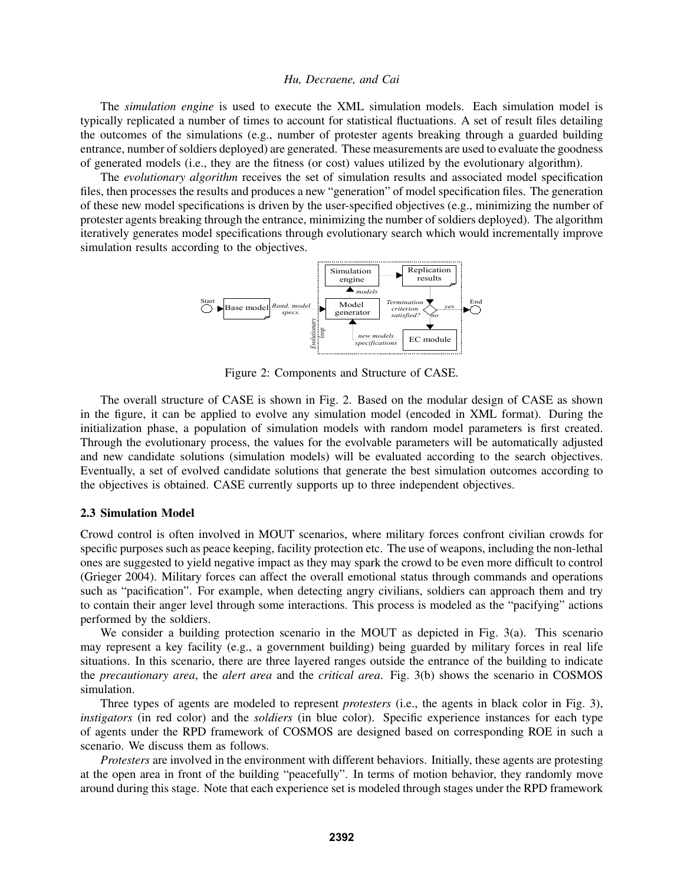The *simulation engine* is used to execute the XML simulation models. Each simulation model is typically replicated a number of times to account for statistical fluctuations. A set of result files detailing the outcomes of the simulations (e.g., number of protester agents breaking through a guarded building entrance, number of soldiers deployed) are generated. These measurements are used to evaluate the goodness of generated models (i.e., they are the fitness (or cost) values utilized by the evolutionary algorithm).

The *evolutionary algorithm* receives the set of simulation results and associated model specification files, then processes the results and produces a new "generation" of model specification files. The generation of these new model specifications is driven by the user-specified objectives (e.g., minimizing the number of protester agents breaking through the entrance, minimizing the number of soldiers deployed). The algorithm iteratively generates model specifications through evolutionary search which would incrementally improve simulation results according to the objectives.



Figure 2: Components and Structure of CASE.

The overall structure of CASE is shown in Fig. 2. Based on the modular design of CASE as shown in the figure, it can be applied to evolve any simulation model (encoded in XML format). During the initialization phase, a population of simulation models with random model parameters is first created. Through the evolutionary process, the values for the evolvable parameters will be automatically adjusted and new candidate solutions (simulation models) will be evaluated according to the search objectives. Eventually, a set of evolved candidate solutions that generate the best simulation outcomes according to the objectives is obtained. CASE currently supports up to three independent objectives.

#### 2.3 Simulation Model

Crowd control is often involved in MOUT scenarios, where military forces confront civilian crowds for specific purposes such as peace keeping, facility protection etc. The use of weapons, including the non-lethal ones are suggested to yield negative impact as they may spark the crowd to be even more difficult to control (Grieger 2004). Military forces can affect the overall emotional status through commands and operations such as "pacification". For example, when detecting angry civilians, soldiers can approach them and try to contain their anger level through some interactions. This process is modeled as the "pacifying" actions performed by the soldiers.

We consider a building protection scenario in the MOUT as depicted in Fig. 3(a). This scenario may represent a key facility (e.g., a government building) being guarded by military forces in real life situations. In this scenario, there are three layered ranges outside the entrance of the building to indicate the *precautionary area*, the *alert area* and the *critical area*. Fig. 3(b) shows the scenario in COSMOS simulation.

Three types of agents are modeled to represent *protesters* (i.e., the agents in black color in Fig. 3), *instigators* (in red color) and the *soldiers* (in blue color). Specific experience instances for each type of agents under the RPD framework of COSMOS are designed based on corresponding ROE in such a scenario. We discuss them as follows.

*Protesters* are involved in the environment with different behaviors. Initially, these agents are protesting at the open area in front of the building "peacefully". In terms of motion behavior, they randomly move around during this stage. Note that each experience set is modeled through stages under the RPD framework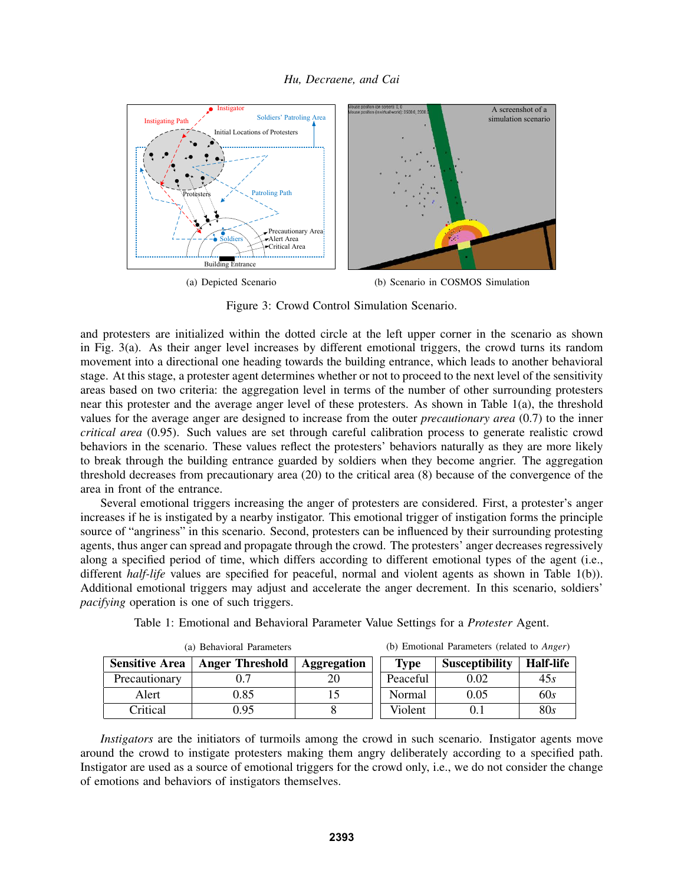

(a) Depicted Scenario

(b) Scenario in COSMOS Simulation

(b) Emotional Parameters (related to *Anger*)

Figure 3: Crowd Control Simulation Scenario.

and protesters are initialized within the dotted circle at the left upper corner in the scenario as shown in Fig. 3(a). As their anger level increases by different emotional triggers, the crowd turns its random movement into a directional one heading towards the building entrance, which leads to another behavioral stage. At this stage, a protester agent determines whether or not to proceed to the next level of the sensitivity areas based on two criteria: the aggregation level in terms of the number of other surrounding protesters near this protester and the average anger level of these protesters. As shown in Table 1(a), the threshold values for the average anger are designed to increase from the outer *precautionary area* (0.7) to the inner *critical area* (0.95). Such values are set through careful calibration process to generate realistic crowd behaviors in the scenario. These values reflect the protesters' behaviors naturally as they are more likely to break through the building entrance guarded by soldiers when they become angrier. The aggregation threshold decreases from precautionary area (20) to the critical area (8) because of the convergence of the area in front of the entrance.

Several emotional triggers increasing the anger of protesters are considered. First, a protester's anger increases if he is instigated by a nearby instigator. This emotional trigger of instigation forms the principle source of "angriness" in this scenario. Second, protesters can be influenced by their surrounding protesting agents, thus anger can spread and propagate through the crowd. The protesters' anger decreases regressively along a specified period of time, which differs according to different emotional types of the agent (i.e., different *half-life* values are specified for peaceful, normal and violent agents as shown in Table 1(b)). Additional emotional triggers may adjust and accelerate the anger decrement. In this scenario, soldiers' *pacifying* operation is one of such triggers.

| (a) Behavioral Parameters |                        |                          | (b) Emotional Parameters (related to <i>Anger</i> ) |                       |                  |
|---------------------------|------------------------|--------------------------|-----------------------------------------------------|-----------------------|------------------|
| <b>Sensitive Area</b>     | <b>Anger Threshold</b> | <sup>'</sup> Aggregation | <b>Type</b>                                         | <b>Susceptibility</b> | <b>Half-life</b> |
| Precautionary             |                        |                          | Peaceful                                            | 0.02                  | 45s              |
| Alert                     | 0.85                   | 15                       | Normal                                              | 0.05                  | 60s              |
| Critical                  | 0.95                   |                          | Violent                                             | 0.1                   | 80s              |

Table 1: Emotional and Behavioral Parameter Value Settings for a *Protester* Agent.

*Instigators* are the initiators of turmoils among the crowd in such scenario. Instigator agents move around the crowd to instigate protesters making them angry deliberately according to a specified path. Instigator are used as a source of emotional triggers for the crowd only, i.e., we do not consider the change of emotions and behaviors of instigators themselves.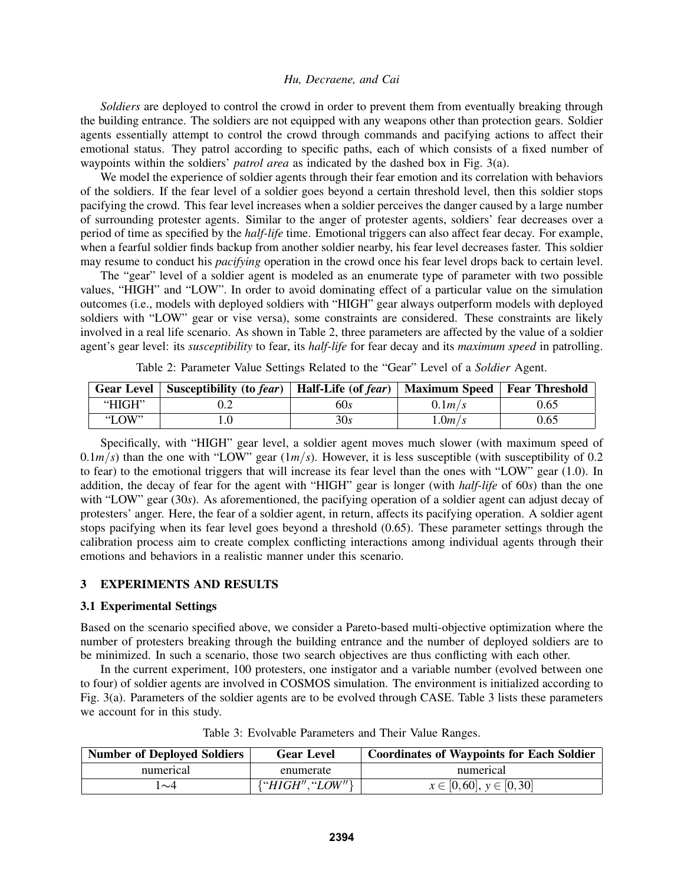*Soldiers* are deployed to control the crowd in order to prevent them from eventually breaking through the building entrance. The soldiers are not equipped with any weapons other than protection gears. Soldier agents essentially attempt to control the crowd through commands and pacifying actions to affect their emotional status. They patrol according to specific paths, each of which consists of a fixed number of waypoints within the soldiers' *patrol area* as indicated by the dashed box in Fig. 3(a).

We model the experience of soldier agents through their fear emotion and its correlation with behaviors of the soldiers. If the fear level of a soldier goes beyond a certain threshold level, then this soldier stops pacifying the crowd. This fear level increases when a soldier perceives the danger caused by a large number of surrounding protester agents. Similar to the anger of protester agents, soldiers' fear decreases over a period of time as specified by the *half-life* time. Emotional triggers can also affect fear decay. For example, when a fearful soldier finds backup from another soldier nearby, his fear level decreases faster. This soldier may resume to conduct his *pacifying* operation in the crowd once his fear level drops back to certain level.

The "gear" level of a soldier agent is modeled as an enumerate type of parameter with two possible values, "HIGH" and "LOW". In order to avoid dominating effect of a particular value on the simulation outcomes (i.e., models with deployed soldiers with "HIGH" gear always outperform models with deployed soldiers with "LOW" gear or vise versa), some constraints are considered. These constraints are likely involved in a real life scenario. As shown in Table 2, three parameters are affected by the value of a soldier agent's gear level: its *susceptibility* to fear, its *half-life* for fear decay and its *maximum speed* in patrolling.

|        | Gear Level   Susceptibility (to fear) | Half-Life (of <i>fear</i> )   Maximum Speed   Fear Threshold |                     |      |
|--------|---------------------------------------|--------------------------------------------------------------|---------------------|------|
| "HIGH" |                                       | 60s                                                          | 0.1m/s              | 0.65 |
| "LOW"  |                                       | 30s                                                          | 1.0 <sub>m</sub> /s | 9.65 |

Table 2: Parameter Value Settings Related to the "Gear" Level of a *Soldier* Agent.

Specifically, with "HIGH" gear level, a soldier agent moves much slower (with maximum speed of  $0.1m/s$ ) than the one with "LOW" gear  $(1m/s)$ . However, it is less susceptible (with susceptibility of 0.2 to fear) to the emotional triggers that will increase its fear level than the ones with "LOW" gear (1.0). In addition, the decay of fear for the agent with "HIGH" gear is longer (with *half-life* of 60*s*) than the one with "LOW" gear (30*s*). As aforementioned, the pacifying operation of a soldier agent can adjust decay of protesters' anger. Here, the fear of a soldier agent, in return, affects its pacifying operation. A soldier agent stops pacifying when its fear level goes beyond a threshold (0.65). These parameter settings through the calibration process aim to create complex conflicting interactions among individual agents through their emotions and behaviors in a realistic manner under this scenario.

# 3 EXPERIMENTS AND RESULTS

# 3.1 Experimental Settings

Based on the scenario specified above, we consider a Pareto-based multi-objective optimization where the number of protesters breaking through the building entrance and the number of deployed soldiers are to be minimized. In such a scenario, those two search objectives are thus conflicting with each other.

In the current experiment, 100 protesters, one instigator and a variable number (evolved between one to four) of soldier agents are involved in COSMOS simulation. The environment is initialized according to Fig. 3(a). Parameters of the soldier agents are to be evolved through CASE. Table 3 lists these parameters we account for in this study.

| Number of Deployed Soldiers | <b>Gear Level</b>       | <b>Coordinates of Waypoints for Each Soldier</b> |
|-----------------------------|-------------------------|--------------------------------------------------|
| numerical                   | enumerate               | numerical                                        |
| $\sim$ 4                    | $\{``HIGH'', ``LOW''\}$ | $x \in [0, 60], y \in [0, 30]$                   |

Table 3: Evolvable Parameters and Their Value Ranges.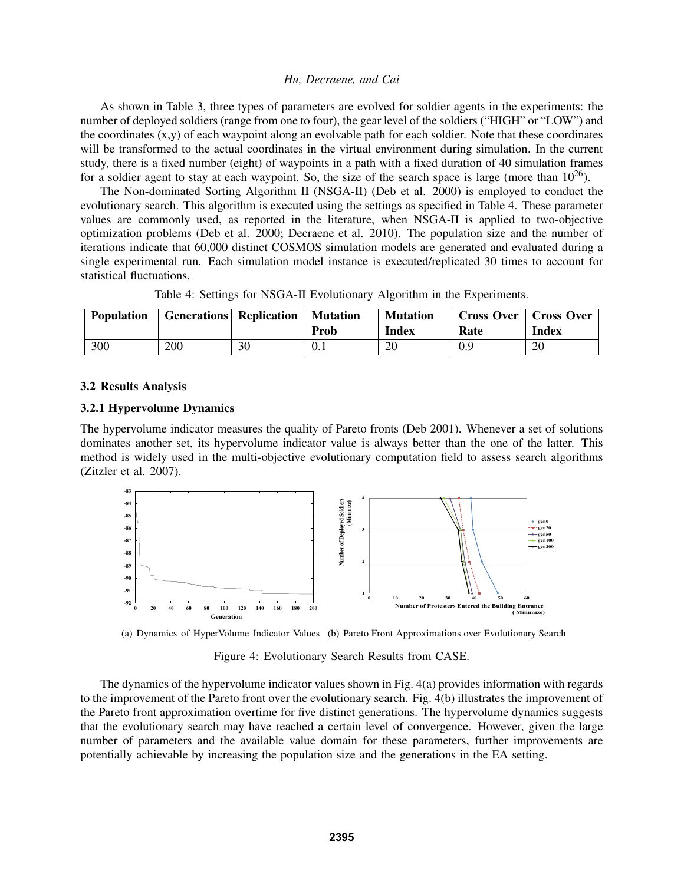As shown in Table 3, three types of parameters are evolved for soldier agents in the experiments: the number of deployed soldiers (range from one to four), the gear level of the soldiers ("HIGH" or "LOW") and the coordinates  $(x,y)$  of each waypoint along an evolvable path for each soldier. Note that these coordinates will be transformed to the actual coordinates in the virtual environment during simulation. In the current study, there is a fixed number (eight) of waypoints in a path with a fixed duration of 40 simulation frames for a soldier agent to stay at each waypoint. So, the size of the search space is large (more than  $10^{26}$ ).

The Non-dominated Sorting Algorithm II (NSGA-II) (Deb et al. 2000) is employed to conduct the evolutionary search. This algorithm is executed using the settings as specified in Table 4. These parameter values are commonly used, as reported in the literature, when NSGA-II is applied to two-objective optimization problems (Deb et al. 2000; Decraene et al. 2010). The population size and the number of iterations indicate that 60,000 distinct COSMOS simulation models are generated and evaluated during a single experimental run. Each simulation model instance is executed/replicated 30 times to account for statistical fluctuations.

Table 4: Settings for NSGA-II Evolutionary Algorithm in the Experiments.

| <b>Population</b> | <b>Generations</b> Replication |    | <b>Mutation</b> | <b>Mutation</b> | <b>Cross Over</b> | <b>Cross Over</b> |
|-------------------|--------------------------------|----|-----------------|-----------------|-------------------|-------------------|
|                   |                                |    | Prob            | Index           | Rate              | <b>Index</b>      |
| 300               | 200                            | 30 | 0.1             | 20              | 0.9               | 20                |

### 3.2 Results Analysis

## 3.2.1 Hypervolume Dynamics

The hypervolume indicator measures the quality of Pareto fronts (Deb 2001). Whenever a set of solutions dominates another set, its hypervolume indicator value is always better than the one of the latter. This method is widely used in the multi-objective evolutionary computation field to assess search algorithms (Zitzler et al. 2007).



(a) Dynamics of HyperVolume Indicator Values (b) Pareto Front Approximations over Evolutionary Search

Figure 4: Evolutionary Search Results from CASE.

The dynamics of the hypervolume indicator values shown in Fig. 4(a) provides information with regards to the improvement of the Pareto front over the evolutionary search. Fig. 4(b) illustrates the improvement of the Pareto front approximation overtime for five distinct generations. The hypervolume dynamics suggests that the evolutionary search may have reached a certain level of convergence. However, given the large number of parameters and the available value domain for these parameters, further improvements are potentially achievable by increasing the population size and the generations in the EA setting.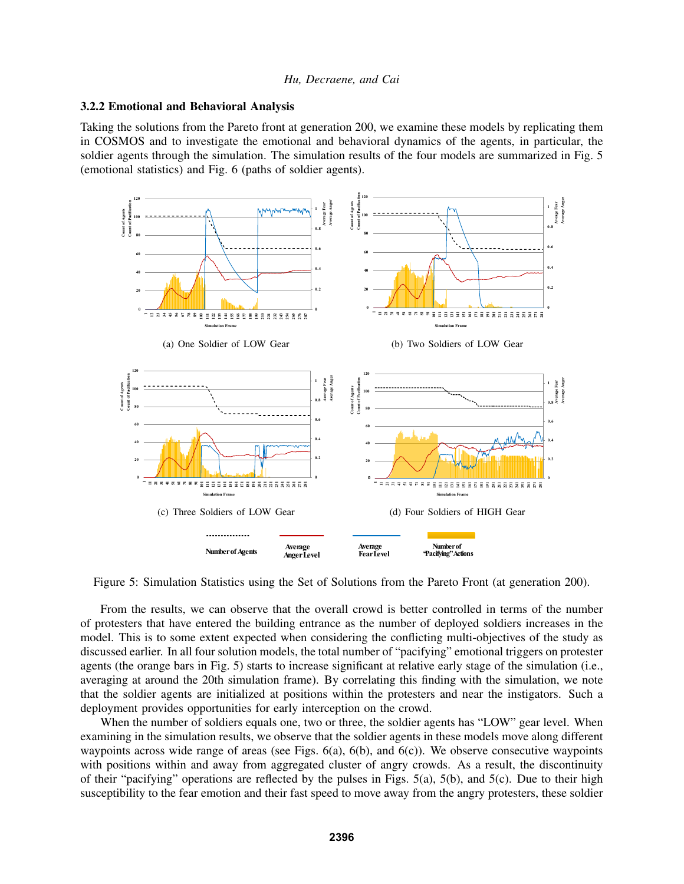#### 3.2.2 Emotional and Behavioral Analysis

Taking the solutions from the Pareto front at generation 200, we examine these models by replicating them in COSMOS and to investigate the emotional and behavioral dynamics of the agents, in particular, the soldier agents through the simulation. The simulation results of the four models are summarized in Fig. 5 (emotional statistics) and Fig. 6 (paths of soldier agents).



Figure 5: Simulation Statistics using the Set of Solutions from the Pareto Front (at generation 200).

From the results, we can observe that the overall crowd is better controlled in terms of the number of protesters that have entered the building entrance as the number of deployed soldiers increases in the model. This is to some extent expected when considering the conflicting multi-objectives of the study as discussed earlier. In all four solution models, the total number of "pacifying" emotional triggers on protester agents (the orange bars in Fig. 5) starts to increase significant at relative early stage of the simulation (i.e., averaging at around the 20th simulation frame). By correlating this finding with the simulation, we note that the soldier agents are initialized at positions within the protesters and near the instigators. Such a deployment provides opportunities for early interception on the crowd.

When the number of soldiers equals one, two or three, the soldier agents has "LOW" gear level. When examining in the simulation results, we observe that the soldier agents in these models move along different waypoints across wide range of areas (see Figs.  $6(a)$ ,  $6(b)$ , and  $6(c)$ ). We observe consecutive waypoints with positions within and away from aggregated cluster of angry crowds. As a result, the discontinuity of their "pacifying" operations are reflected by the pulses in Figs.  $5(a)$ ,  $5(b)$ , and  $5(c)$ . Due to their high susceptibility to the fear emotion and their fast speed to move away from the angry protesters, these soldier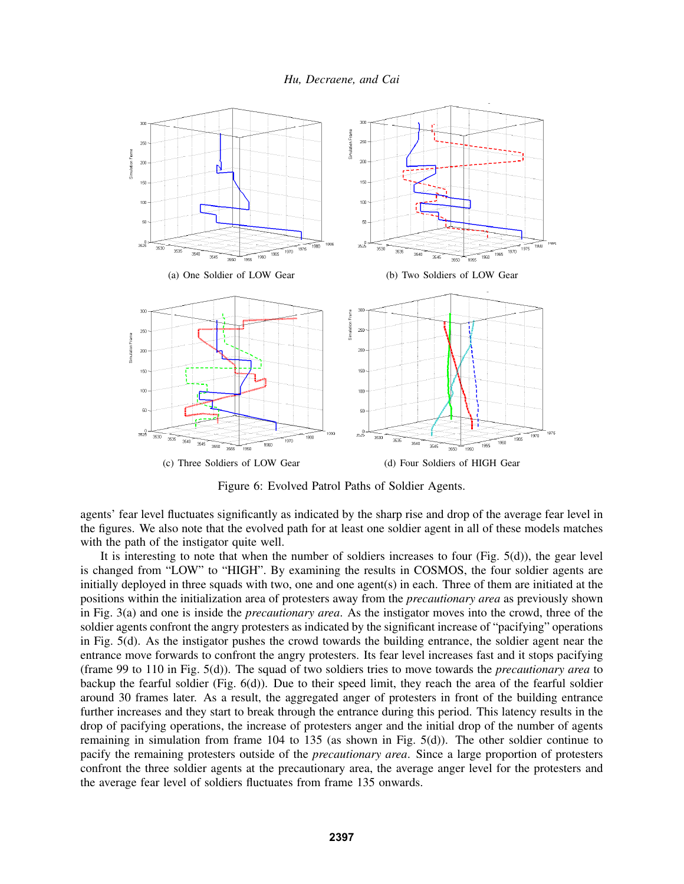

Figure 6: Evolved Patrol Paths of Soldier Agents.

agents' fear level fluctuates significantly as indicated by the sharp rise and drop of the average fear level in the figures. We also note that the evolved path for at least one soldier agent in all of these models matches with the path of the instigator quite well.

It is interesting to note that when the number of soldiers increases to four (Fig. 5(d)), the gear level is changed from "LOW" to "HIGH". By examining the results in COSMOS, the four soldier agents are initially deployed in three squads with two, one and one agent(s) in each. Three of them are initiated at the positions within the initialization area of protesters away from the *precautionary area* as previously shown in Fig. 3(a) and one is inside the *precautionary area*. As the instigator moves into the crowd, three of the soldier agents confront the angry protesters as indicated by the significant increase of "pacifying" operations in Fig. 5(d). As the instigator pushes the crowd towards the building entrance, the soldier agent near the entrance move forwards to confront the angry protesters. Its fear level increases fast and it stops pacifying (frame 99 to 110 in Fig. 5(d)). The squad of two soldiers tries to move towards the *precautionary area* to backup the fearful soldier (Fig. 6(d)). Due to their speed limit, they reach the area of the fearful soldier around 30 frames later. As a result, the aggregated anger of protesters in front of the building entrance further increases and they start to break through the entrance during this period. This latency results in the drop of pacifying operations, the increase of protesters anger and the initial drop of the number of agents remaining in simulation from frame 104 to 135 (as shown in Fig. 5(d)). The other soldier continue to pacify the remaining protesters outside of the *precautionary area*. Since a large proportion of protesters confront the three soldier agents at the precautionary area, the average anger level for the protesters and the average fear level of soldiers fluctuates from frame 135 onwards.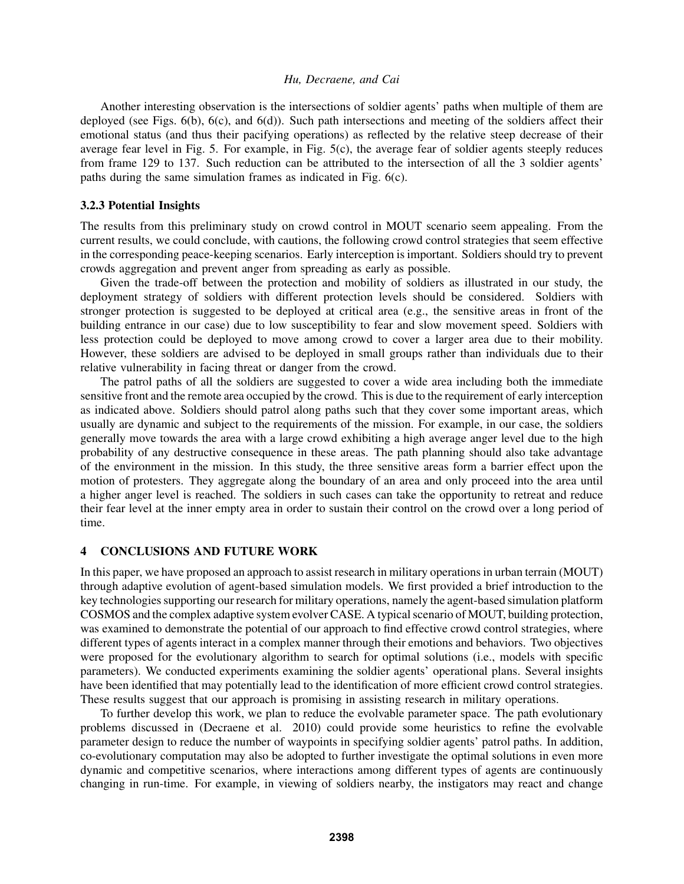Another interesting observation is the intersections of soldier agents' paths when multiple of them are deployed (see Figs. 6(b), 6(c), and 6(d)). Such path intersections and meeting of the soldiers affect their emotional status (and thus their pacifying operations) as reflected by the relative steep decrease of their average fear level in Fig. 5. For example, in Fig. 5(c), the average fear of soldier agents steeply reduces from frame 129 to 137. Such reduction can be attributed to the intersection of all the 3 soldier agents' paths during the same simulation frames as indicated in Fig. 6(c).

## 3.2.3 Potential Insights

The results from this preliminary study on crowd control in MOUT scenario seem appealing. From the current results, we could conclude, with cautions, the following crowd control strategies that seem effective in the corresponding peace-keeping scenarios. Early interception is important. Soldiers should try to prevent crowds aggregation and prevent anger from spreading as early as possible.

Given the trade-off between the protection and mobility of soldiers as illustrated in our study, the deployment strategy of soldiers with different protection levels should be considered. Soldiers with stronger protection is suggested to be deployed at critical area (e.g., the sensitive areas in front of the building entrance in our case) due to low susceptibility to fear and slow movement speed. Soldiers with less protection could be deployed to move among crowd to cover a larger area due to their mobility. However, these soldiers are advised to be deployed in small groups rather than individuals due to their relative vulnerability in facing threat or danger from the crowd.

The patrol paths of all the soldiers are suggested to cover a wide area including both the immediate sensitive front and the remote area occupied by the crowd. This is due to the requirement of early interception as indicated above. Soldiers should patrol along paths such that they cover some important areas, which usually are dynamic and subject to the requirements of the mission. For example, in our case, the soldiers generally move towards the area with a large crowd exhibiting a high average anger level due to the high probability of any destructive consequence in these areas. The path planning should also take advantage of the environment in the mission. In this study, the three sensitive areas form a barrier effect upon the motion of protesters. They aggregate along the boundary of an area and only proceed into the area until a higher anger level is reached. The soldiers in such cases can take the opportunity to retreat and reduce their fear level at the inner empty area in order to sustain their control on the crowd over a long period of time.

#### 4 CONCLUSIONS AND FUTURE WORK

In this paper, we have proposed an approach to assist research in military operations in urban terrain (MOUT) through adaptive evolution of agent-based simulation models. We first provided a brief introduction to the key technologies supporting our research for military operations, namely the agent-based simulation platform COSMOS and the complex adaptive system evolver CASE. A typical scenario of MOUT, building protection, was examined to demonstrate the potential of our approach to find effective crowd control strategies, where different types of agents interact in a complex manner through their emotions and behaviors. Two objectives were proposed for the evolutionary algorithm to search for optimal solutions (i.e., models with specific parameters). We conducted experiments examining the soldier agents' operational plans. Several insights have been identified that may potentially lead to the identification of more efficient crowd control strategies. These results suggest that our approach is promising in assisting research in military operations.

To further develop this work, we plan to reduce the evolvable parameter space. The path evolutionary problems discussed in (Decraene et al. 2010) could provide some heuristics to refine the evolvable parameter design to reduce the number of waypoints in specifying soldier agents' patrol paths. In addition, co-evolutionary computation may also be adopted to further investigate the optimal solutions in even more dynamic and competitive scenarios, where interactions among different types of agents are continuously changing in run-time. For example, in viewing of soldiers nearby, the instigators may react and change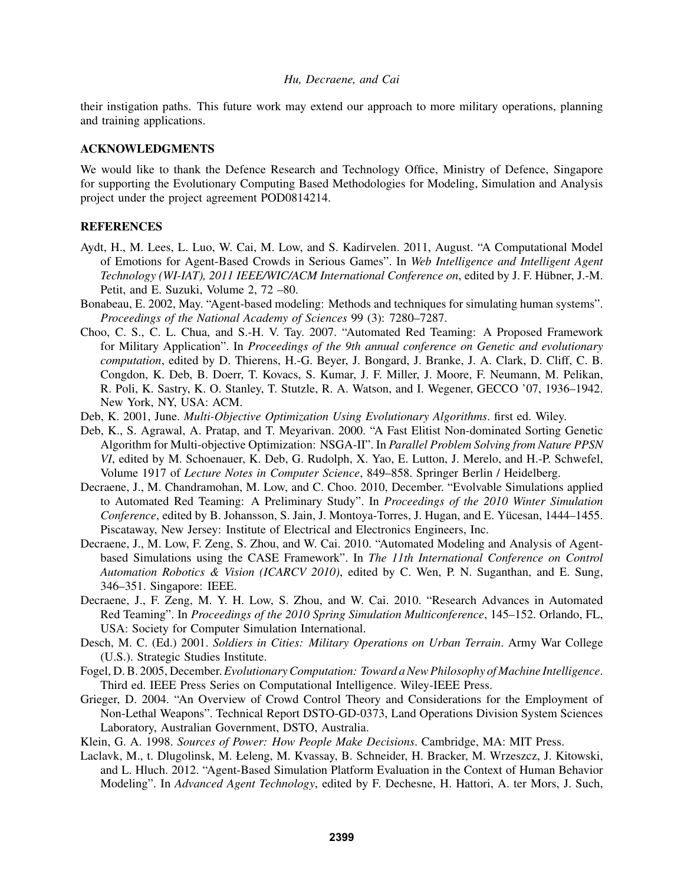their instigation paths. This future work may extend our approach to more military operations, planning and training applications.

#### ACKNOWLEDGMENTS

We would like to thank the Defence Research and Technology Office, Ministry of Defence, Singapore for supporting the Evolutionary Computing Based Methodologies for Modeling, Simulation and Analysis project under the project agreement POD0814214.

#### **REFERENCES**

- Aydt, H., M. Lees, L. Luo, W. Cai, M. Low, and S. Kadirvelen. 2011, August. "A Computational Model of Emotions for Agent-Based Crowds in Serious Games". In *Web Intelligence and Intelligent Agent Technology (WI-IAT), 2011 IEEE/WIC/ACM International Conference on*, edited by J. F. Hubner, J.-M. ¨ Petit, and E. Suzuki, Volume 2, 72 –80.
- Bonabeau, E. 2002, May. "Agent-based modeling: Methods and techniques for simulating human systems". *Proceedings of the National Academy of Sciences* 99 (3): 7280–7287.
- Choo, C. S., C. L. Chua, and S.-H. V. Tay. 2007. "Automated Red Teaming: A Proposed Framework for Military Application". In *Proceedings of the 9th annual conference on Genetic and evolutionary computation*, edited by D. Thierens, H.-G. Beyer, J. Bongard, J. Branke, J. A. Clark, D. Cliff, C. B. Congdon, K. Deb, B. Doerr, T. Kovacs, S. Kumar, J. F. Miller, J. Moore, F. Neumann, M. Pelikan, R. Poli, K. Sastry, K. O. Stanley, T. Stutzle, R. A. Watson, and I. Wegener, GECCO '07, 1936–1942. New York, NY, USA: ACM.
- Deb, K. 2001, June. *Multi-Objective Optimization Using Evolutionary Algorithms*. first ed. Wiley.
- Deb, K., S. Agrawal, A. Pratap, and T. Meyarivan. 2000. "A Fast Elitist Non-dominated Sorting Genetic Algorithm for Multi-objective Optimization: NSGA-II". In *Parallel Problem Solving from Nature PPSN VI*, edited by M. Schoenauer, K. Deb, G. Rudolph, X. Yao, E. Lutton, J. Merelo, and H.-P. Schwefel, Volume 1917 of *Lecture Notes in Computer Science*, 849–858. Springer Berlin / Heidelberg.
- Decraene, J., M. Chandramohan, M. Low, and C. Choo. 2010, December. "Evolvable Simulations applied to Automated Red Teaming: A Preliminary Study". In *Proceedings of the 2010 Winter Simulation Conference*, edited by B. Johansson, S. Jain, J. Montoya-Torres, J. Hugan, and E. Yücesan, 1444–1455. Piscataway, New Jersey: Institute of Electrical and Electronics Engineers, Inc.
- Decraene, J., M. Low, F. Zeng, S. Zhou, and W. Cai. 2010. "Automated Modeling and Analysis of Agentbased Simulations using the CASE Framework". In *The 11th International Conference on Control Automation Robotics & Vision (ICARCV 2010)*, edited by C. Wen, P. N. Suganthan, and E. Sung, 346–351. Singapore: IEEE.
- Decraene, J., F. Zeng, M. Y. H. Low, S. Zhou, and W. Cai. 2010. "Research Advances in Automated Red Teaming". In *Proceedings of the 2010 Spring Simulation Multiconference*, 145–152. Orlando, FL, USA: Society for Computer Simulation International.
- Desch, M. C. (Ed.) 2001. *Soldiers in Cities: Military Operations on Urban Terrain*. Army War College (U.S.). Strategic Studies Institute.
- Fogel, D. B. 2005, December. *Evolutionary Computation: Toward a New Philosophy of Machine Intelligence*. Third ed. IEEE Press Series on Computational Intelligence. Wiley-IEEE Press.
- Grieger, D. 2004. "An Overview of Crowd Control Theory and Considerations for the Employment of Non-Lethal Weapons". Technical Report DSTO-GD-0373, Land Operations Division System Sciences Laboratory, Australian Government, DSTO, Australia.
- Klein, G. A. 1998. *Sources of Power: How People Make Decisions*. Cambridge, MA: MIT Press.
- Laclavk, M., t. Dlugolinsk, M. Łeleng, M. Kvassay, B. Schneider, H. Bracker, M. Wrzeszcz, J. Kitowski, and L. Hluch. 2012. "Agent-Based Simulation Platform Evaluation in the Context of Human Behavior Modeling". In *Advanced Agent Technology*, edited by F. Dechesne, H. Hattori, A. ter Mors, J. Such,